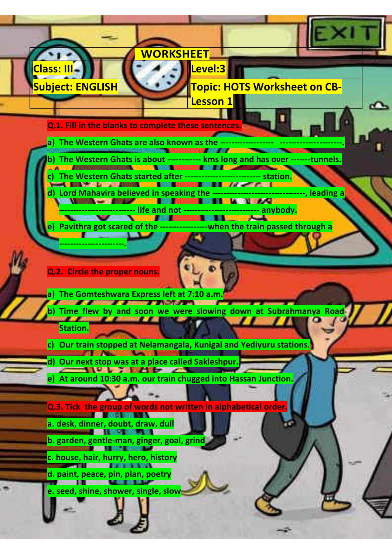